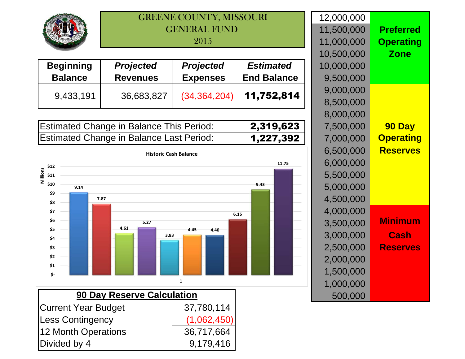

## GREENE COUNTY, MISSOURIGENERAL FUND 2015

| <b>Beginning</b> | <b>Projected</b> | <b>Projected</b> | <b>Estimated</b>   | 10,000,000             |
|------------------|------------------|------------------|--------------------|------------------------|
| <b>Balance</b>   | <b>Revenues</b>  | <b>Expenses</b>  | <b>End Balance</b> | 9,500,000              |
| 9,433,191        | 36,683,827       | (34, 364, 204)   | 11,752,814         | 9,000,000<br>8,500,000 |

| <b>Estimated Change in Balance This Period:</b> | 2,319,623 |
|-------------------------------------------------|-----------|
| <b>Estimated Change in Balance Last Period:</b> | 1,227,392 |



|               | 12,000,000 |                  |
|---------------|------------|------------------|
|               | 11,500,000 | <b>Preferred</b> |
|               | 11,000,000 | <b>Operating</b> |
|               | 10,500,000 | <b>Zone</b>      |
|               | 10,000,000 |                  |
| е             | 9,500,000  |                  |
| 4             | 9,000,000  |                  |
|               | 8,500,000  |                  |
|               | 8,000,000  |                  |
| $\frac{3}{2}$ | 7,500,000  | 90 Day           |
|               | 7,000,000  | <b>Operating</b> |
|               | 6,500,000  | <b>Reserves</b>  |
|               | 6,000,000  |                  |
|               | 5,500,000  |                  |
|               | 5,000,000  |                  |
|               | 4,500,000  |                  |
|               | 4,000,000  |                  |
|               | 3,500,000  | Minimum          |
|               | 3,000,000  | Cash             |
|               | 2,500,000  | <b>Reserves</b>  |
|               | 2,000,000  |                  |
|               | 1,500,000  |                  |
|               | 1,000,000  |                  |
|               | 500,000    |                  |
|               |            |                  |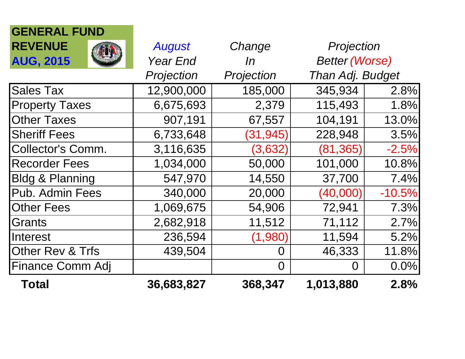| <b>Total</b>               | 36,683,827      | 368,347    | 1,013,880             | 2.8%     |
|----------------------------|-----------------|------------|-----------------------|----------|
| <b>Finance Comm Adj</b>    |                 | 0          | $\Omega$              | 0.0%     |
| Other Rev & Trfs           | 439,504         | O          | 46,333                | 11.8%    |
| Interest                   | 236,594         | (1,980)    | 11,594                | 5.2%     |
| Grants                     | 2,682,918       | 11,512     | 71,112                | 2.7%     |
| <b>Other Fees</b>          | 1,069,675       | 54,906     | 72,941                | 7.3%     |
| Pub. Admin Fees            | 340,000         | 20,000     | (40,000)              | $-10.5%$ |
| <b>Bldg &amp; Planning</b> | 547,970         | 14,550     | 37,700                | 7.4%     |
| <b>Recorder Fees</b>       | 1,034,000       | 50,000     | 101,000               | 10.8%    |
| Collector's Comm.          | 3,116,635       | (3,632)    | (81, 365)             | $-2.5%$  |
| <b>Sheriff Fees</b>        | 6,733,648       | (31, 945)  | 228,948               | 3.5%     |
| <b>Other Taxes</b>         | 907,191         | 67,557     | 104,191               | 13.0%    |
| <b>Property Taxes</b>      | 6,675,693       | 2,379      | 115,493               | 1.8%     |
| <b>Sales Tax</b>           | 12,900,000      | 185,000    | 345,934               | 2.8%     |
|                            | Projection      | Projection | Than Adj. Budget      |          |
| <b>AUG, 2015</b>           | <b>Year End</b> | ln         | <b>Better (Worse)</b> |          |
| <b>REVENUE</b>             | <b>August</b>   | Change     | Projection            |          |
| <b>GENERAL FUND</b>        |                 |            |                       |          |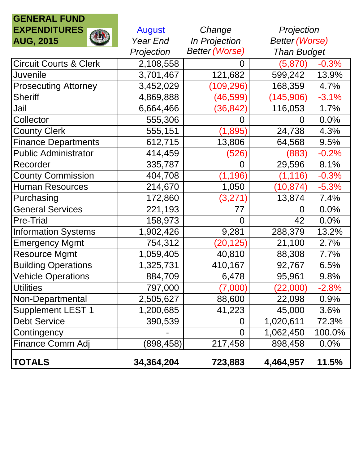| <b>GENERAL FUND</b>               |               |                       |                       |         |
|-----------------------------------|---------------|-----------------------|-----------------------|---------|
| <b>EXPENDITURES</b>               | <b>August</b> | Change                | Projection            |         |
| <b>AUG, 2015</b>                  | Year End      | In Projection         | <b>Better (Worse)</b> |         |
|                                   | Projection    | <b>Better (Worse)</b> | <b>Than Budget</b>    |         |
| <b>Circuit Courts &amp; Clerk</b> | 2,108,558     | 0                     | (5,870)               | $-0.3%$ |
| <b>Juvenile</b>                   | 3,701,467     | 121,682               | 599,242               | 13.9%   |
| <b>Prosecuting Attorney</b>       | 3,452,029     | 109,296)              | 168,359               | 4.7%    |
| <b>Sheriff</b>                    | 4,869,888     | (46, 599)             | (145,906)             | $-3.1%$ |
| Jail                              | 6,664,466     | (36, 842)             | 116,053               | 1.7%    |
| Collector                         | 555,306       |                       | 0                     | 0.0%    |
| <b>County Clerk</b>               | 555,151       | (1,895)               | 24,738                | 4.3%    |
| <b>Finance Departments</b>        | 612,715       | 13,806                | 64,568                | 9.5%    |
| <b>Public Administrator</b>       | 414,459       | (526)                 | (883)                 | $-0.2%$ |
| Recorder                          | 335,787       | 0                     | 29,596                | 8.1%    |
| <b>County Commission</b>          | 404,708       | (1, 196)              | (1, 116)              | $-0.3%$ |
| <b>Human Resources</b>            | 214,670       | 1,050                 | (10, 874)             | $-5.3%$ |
| Purchasing                        | 172,860       | (3,271)               | 13,874                | 7.4%    |
| <b>General Services</b>           | 221,193       | 77                    | 0                     | 0.0%    |
| <b>Pre-Trial</b>                  | 158,973       | $\Omega$              | 42                    | 0.0%    |
| <b>Information Systems</b>        | 1,902,426     | 9,281                 | 288,379               | 13.2%   |
| <b>Emergency Mgmt</b>             | 754,312       | (20, 125)             | 21,100                | 2.7%    |
| <b>Resource Mgmt</b>              | 1,059,405     | 40,810                | 88,308                | 7.7%    |
| <b>Building Operations</b>        | 1,325,731     | 410,167               | 92,767                | 6.5%    |
| <b>Vehicle Operations</b>         | 884,709       | 6,478                 | 95,961                | 9.8%    |
| <b>Utilities</b>                  | 797,000       | $\left( 7,000\right)$ | (22,000)              | $-2.8%$ |
| Non-Departmental                  | 2,505,627     | 88,600                | 22,098                | 0.9%    |
| <b>Supplement LEST 1</b>          | 1,200,685     | 41,223                | 45,000                | 3.6%    |
| <b>Debt Service</b>               | 390,539       | 0                     | 1,020,611             | 72.3%   |
| Contingency                       |               | $\overline{0}$        | 1,062,450             | 100.0%  |
| Finance Comm Adj                  | (898,458)     | 217,458               | 898,458               | 0.0%    |
| <b>TOTALS</b>                     | 34,364,204    | 723,883               | 4,464,957             | 11.5%   |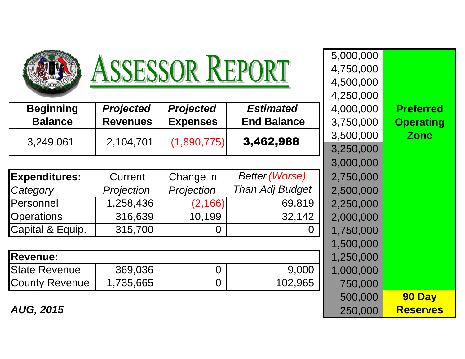| ASSESSOR REPORT       |                                               |                  |                    | 5,000,000<br>4,750,000<br>4,500,000<br>4,250,000 |                  |  |
|-----------------------|-----------------------------------------------|------------------|--------------------|--------------------------------------------------|------------------|--|
| <b>Beginning</b>      | <b>Projected</b>                              | <b>Projected</b> | <b>Estimated</b>   | 4,000,000                                        | <b>Preferred</b> |  |
| <b>Balance</b>        | <b>Revenues</b>                               | <b>Expenses</b>  | <b>End Balance</b> | 3,750,000                                        | <b>Operating</b> |  |
|                       |                                               |                  | 3,462,988          | 3,500,000                                        | <b>Zone</b>      |  |
| 3,249,061             | 2,104,701                                     | (1,890,775)      |                    | 3,250,000                                        |                  |  |
|                       |                                               |                  |                    | 3,000,000                                        |                  |  |
| <b>Expenditures:</b>  | <b>Better (Worse)</b><br>Change in<br>Current |                  |                    |                                                  |                  |  |
| Category              | Projection                                    | Projection       | Than Adj Budget    | 2,500,000                                        |                  |  |
| Personnel             | 1,258,436<br>(2, 166)<br>69,819               |                  |                    | 2,250,000                                        |                  |  |
| <b>Operations</b>     | 316,639                                       | 10,199           | 32,142             | 2,000,000                                        |                  |  |
| Capital & Equip.      | 315,700                                       | O                | 0                  | 1,750,000                                        |                  |  |
|                       |                                               |                  |                    | 1,500,000                                        |                  |  |
| <b>Revenue:</b>       |                                               |                  |                    | 1,250,000                                        |                  |  |
| <b>State Revenue</b>  | 369,036                                       | $\overline{0}$   | 9,000              | 1,000,000                                        |                  |  |
| <b>County Revenue</b> | 1,735,665                                     | $\overline{0}$   | 102,965            | 750,000                                          |                  |  |
|                       |                                               |                  |                    | 500,000                                          | 90 Day           |  |
| <b>AUG, 2015</b>      | 250,000                                       | <b>Reserves</b>  |                    |                                                  |                  |  |

**Reserves**